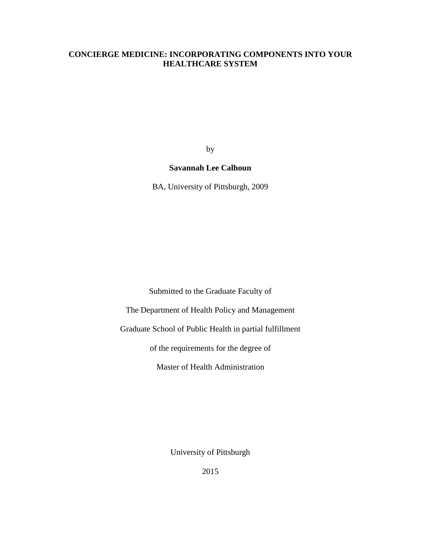# **CONCIERGE MEDICINE: INCORPORATING COMPONENTS INTO YOUR HEALTHCARE SYSTEM**

by

# **Savannah Lee Calhoun**

BA, University of Pittsburgh, 2009

Submitted to the Graduate Faculty of

The Department of Health Policy and Management

Graduate School of Public Health in partial fulfillment

of the requirements for the degree of

Master of Health Administration

University of Pittsburgh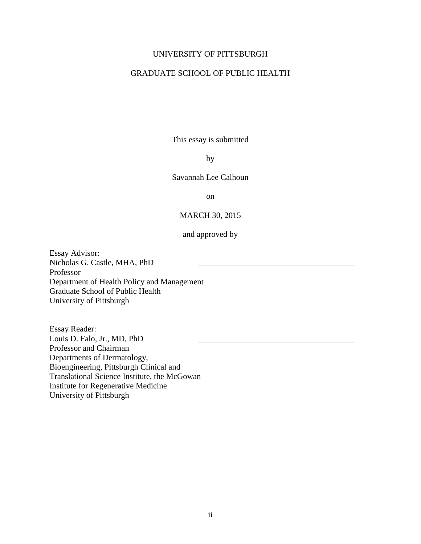# UNIVERSITY OF PITTSBURGH

# GRADUATE SCHOOL OF PUBLIC HEALTH

This essay is submitted

# by

Savannah Lee Calhoun

on

# MARCH 30, 2015

# and approved by

Essay Advisor: Nicholas G. Castle, MHA, PhD Professor Department of Health Policy and Management Graduate School of Public Health University of Pittsburgh

Essay Reader: Louis D. Falo, Jr., MD, PhD Professor and Chairman Departments of Dermatology, Bioengineering, Pittsburgh Clinical and Translational Science Institute, the McGowan Institute for Regenerative Medicine University of Pittsburgh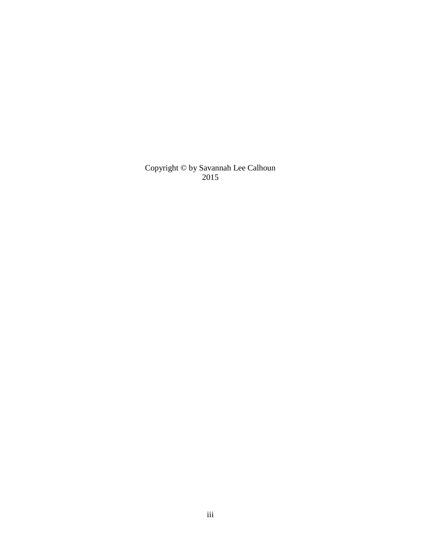Copyright © by Savannah Lee Calhoun 2015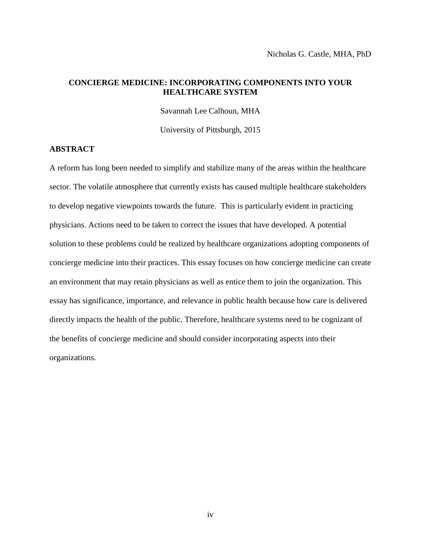# **CONCIERGE MEDICINE: INCORPORATING COMPONENTS INTO YOUR HEALTHCARE SYSTEM**

Savannah Lee Calhoun, MHA

University of Pittsburgh, 2015

# **ABSTRACT**

A reform has long been needed to simplify and stabilize many of the areas within the healthcare sector. The volatile atmosphere that currently exists has caused multiple healthcare stakeholders to develop negative viewpoints towards the future. This is particularly evident in practicing physicians. Actions need to be taken to correct the issues that have developed. A potential solution to these problems could be realized by healthcare organizations adopting components of concierge medicine into their practices. This essay focuses on how concierge medicine can create an environment that may retain physicians as well as entice them to join the organization. This essay has significance, importance, and relevance in public health because how care is delivered directly impacts the health of the public. Therefore, healthcare systems need to be cognizant of the benefits of concierge medicine and should consider incorporating aspects into their organizations.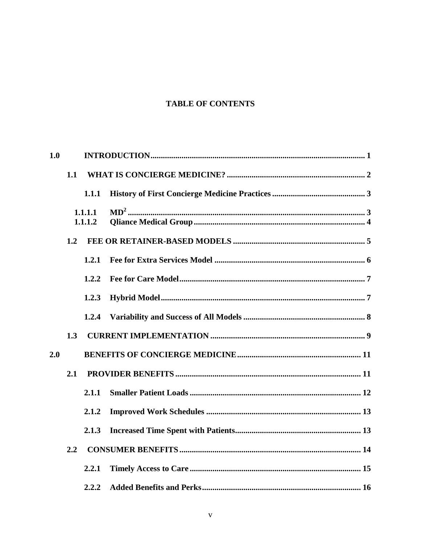# **TABLE OF CONTENTS**

| 1.0 |     |                    |  |  |
|-----|-----|--------------------|--|--|
|     | 1.1 |                    |  |  |
|     |     | 1.1.1              |  |  |
|     |     | 1.1.1.1<br>1.1.1.2 |  |  |
|     | 1.2 |                    |  |  |
|     |     | 1,2.1              |  |  |
|     |     | 1.2.2              |  |  |
|     |     | 1.2.3              |  |  |
|     |     | 1.2.4              |  |  |
|     | 1.3 |                    |  |  |
| 2.0 |     |                    |  |  |
|     | 2.1 |                    |  |  |
|     |     | 2.1.1              |  |  |
|     |     | 2.1.2              |  |  |
|     |     | 2.1.3              |  |  |
|     | 2.2 |                    |  |  |
|     |     | 2.2.1              |  |  |
|     |     | 2.2.2              |  |  |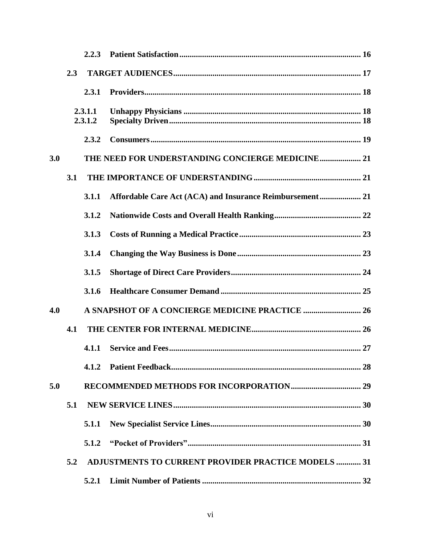|     |                    | 2.2.3 |                                                            |  |
|-----|--------------------|-------|------------------------------------------------------------|--|
|     | 2.3                |       |                                                            |  |
|     |                    | 2.3.1 |                                                            |  |
|     | 2.3.1.1<br>2.3.1.2 |       |                                                            |  |
|     |                    | 2.3.2 |                                                            |  |
| 3.0 |                    |       | THE NEED FOR UNDERSTANDING CONCIERGE MEDICINE 21           |  |
|     | 3.1                |       |                                                            |  |
|     |                    | 3.1.1 | Affordable Care Act (ACA) and Insurance Reimbursement 21   |  |
|     |                    | 3.1.2 |                                                            |  |
|     |                    | 3.1.3 |                                                            |  |
|     |                    | 3.1.4 |                                                            |  |
|     |                    | 3.1.5 |                                                            |  |
|     |                    | 3.1.6 |                                                            |  |
| 4.0 |                    |       |                                                            |  |
|     | 4.1                |       |                                                            |  |
|     |                    | 4.1.1 |                                                            |  |
|     |                    | 4.1.2 |                                                            |  |
| 5.0 |                    |       |                                                            |  |
|     | 5.1                |       |                                                            |  |
|     |                    | 5.1.1 |                                                            |  |
|     |                    | 5.1.2 |                                                            |  |
|     | 5.2                |       | <b>ADJUSTMENTS TO CURRENT PROVIDER PRACTICE MODELS  31</b> |  |
|     |                    | 5.2.1 |                                                            |  |
|     |                    |       |                                                            |  |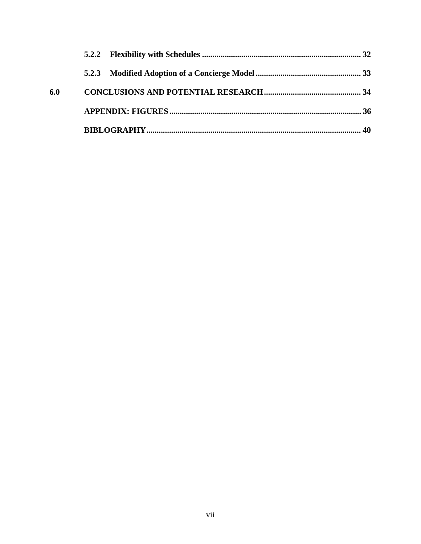| 6.0 |  |
|-----|--|
|     |  |
|     |  |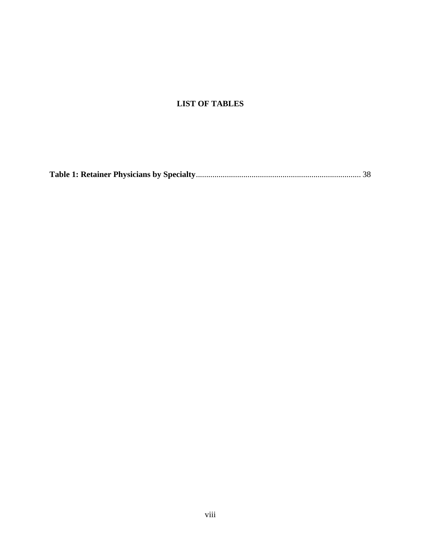# **LIST OF TABLES**

|--|--|--|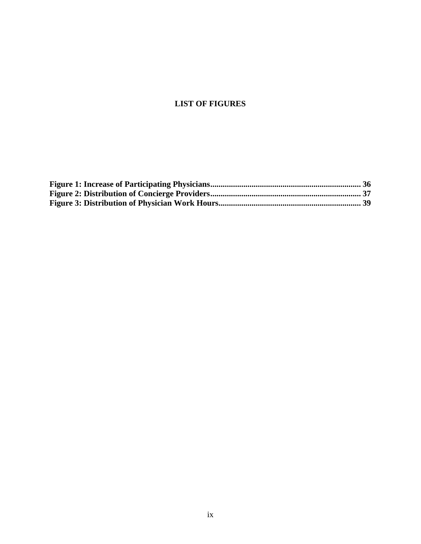# **LIST OF FIGURES**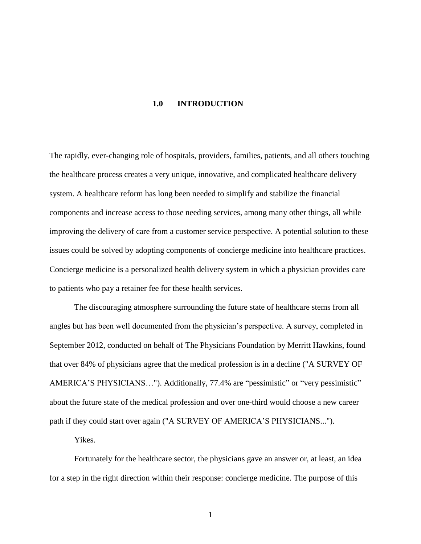#### **1.0 INTRODUCTION**

<span id="page-9-0"></span>The rapidly, ever-changing role of hospitals, providers, families, patients, and all others touching the healthcare process creates a very unique, innovative, and complicated healthcare delivery system. A healthcare reform has long been needed to simplify and stabilize the financial components and increase access to those needing services, among many other things, all while improving the delivery of care from a customer service perspective. A potential solution to these issues could be solved by adopting components of concierge medicine into healthcare practices. Concierge medicine is a personalized health delivery system in which a physician provides care to patients who pay a retainer fee for these health services.

The discouraging atmosphere surrounding the future state of healthcare stems from all angles but has been well documented from the physician's perspective. A survey, completed in September 2012, conducted on behalf of The Physicians Foundation by Merritt Hawkins, found that over 84% of physicians agree that the medical profession is in a decline ("A SURVEY OF AMERICA'S PHYSICIANS…"). Additionally, 77.4% are "pessimistic" or "very pessimistic" about the future state of the medical profession and over one-third would choose a new career path if they could start over again ("A SURVEY OF AMERICA'S PHYSICIANS...").

Yikes.

Fortunately for the healthcare sector, the physicians gave an answer or, at least, an idea for a step in the right direction within their response: concierge medicine. The purpose of this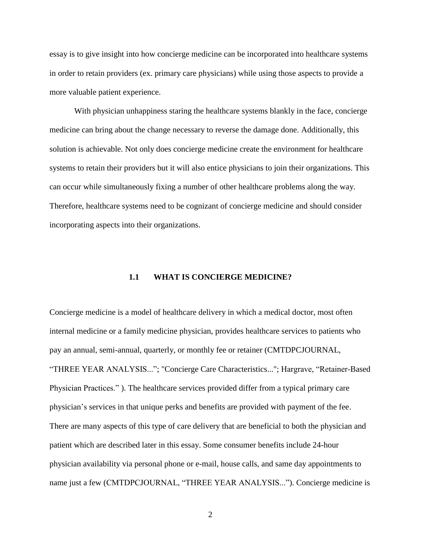essay is to give insight into how concierge medicine can be incorporated into healthcare systems in order to retain providers (ex. primary care physicians) while using those aspects to provide a more valuable patient experience.

With physician unhappiness staring the healthcare systems blankly in the face, concierge medicine can bring about the change necessary to reverse the damage done. Additionally, this solution is achievable. Not only does concierge medicine create the environment for healthcare systems to retain their providers but it will also entice physicians to join their organizations. This can occur while simultaneously fixing a number of other healthcare problems along the way. Therefore, healthcare systems need to be cognizant of concierge medicine and should consider incorporating aspects into their organizations.

# **1.1 WHAT IS CONCIERGE MEDICINE?**

<span id="page-10-0"></span>Concierge medicine is a model of healthcare delivery in which a medical doctor, most often internal medicine or a family medicine physician, provides healthcare services to patients who pay an annual, semi-annual, quarterly, or monthly fee or retainer (CMTDPCJOURNAL, "THREE YEAR ANALYSIS..."; "Concierge Care Characteristics..."; Hargrave, "Retainer-Based Physician Practices." ). The healthcare services provided differ from a typical primary care physician's services in that unique perks and benefits are provided with payment of the fee. There are many aspects of this type of care delivery that are beneficial to both the physician and patient which are described later in this essay. Some consumer benefits include 24-hour physician availability via personal phone or e-mail, house calls, and same day appointments to name just a few (CMTDPCJOURNAL, "THREE YEAR ANALYSIS..."). Concierge medicine is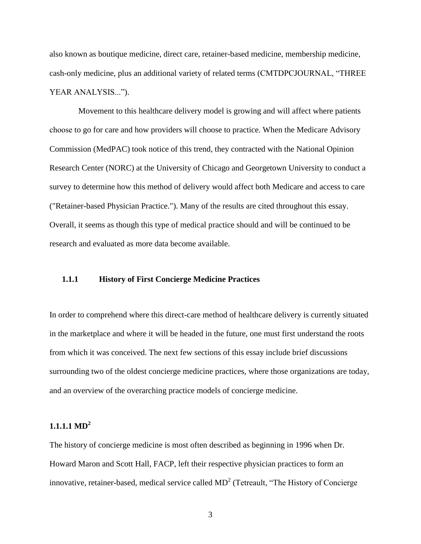also known as boutique medicine, direct care, retainer-based medicine, membership medicine, cash-only medicine, plus an additional variety of related terms (CMTDPCJOURNAL, "THREE YEAR ANALYSIS...").

 Movement to this healthcare delivery model is growing and will affect where patients choose to go for care and how providers will choose to practice. When the Medicare Advisory Commission (MedPAC) took notice of this trend, they contracted with the National Opinion Research Center (NORC) at the University of Chicago and Georgetown University to conduct a survey to determine how this method of delivery would affect both Medicare and access to care ("Retainer-based Physician Practice."). Many of the results are cited throughout this essay. Overall, it seems as though this type of medical practice should and will be continued to be research and evaluated as more data become available.

# <span id="page-11-0"></span>**1.1.1 History of First Concierge Medicine Practices**

In order to comprehend where this direct-care method of healthcare delivery is currently situated in the marketplace and where it will be headed in the future, one must first understand the roots from which it was conceived. The next few sections of this essay include brief discussions surrounding two of the oldest concierge medicine practices, where those organizations are today, and an overview of the overarching practice models of concierge medicine.

# <span id="page-11-1"></span>**1.1.1.1 MD<sup>2</sup>**

The history of concierge medicine is most often described as beginning in 1996 when Dr. Howard Maron and Scott Hall, FACP, left their respective physician practices to form an innovative, retainer-based, medical service called  $MD<sup>2</sup>$  (Tetreault, "The History of Concierge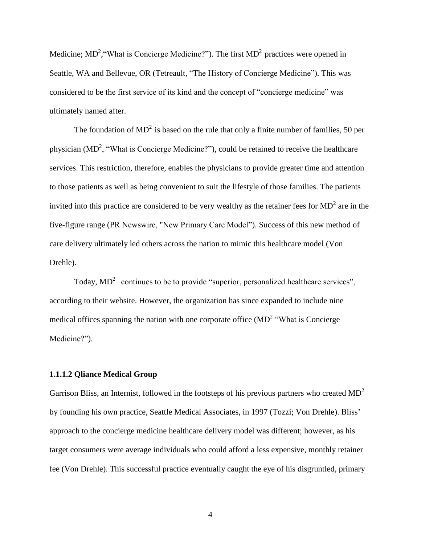Medicine; MD<sup>2</sup>, "What is Concierge Medicine?"). The first MD<sup>2</sup> practices were opened in Seattle, WA and Bellevue, OR (Tetreault, "The History of Concierge Medicine"). This was considered to be the first service of its kind and the concept of "concierge medicine" was ultimately named after.

The foundation of  $MD^2$  is based on the rule that only a finite number of families, 50 per physician  $(MD<sup>2</sup>, "What is Concierge Medicine?"), could be retained to receive the healthcare$ services. This restriction, therefore, enables the physicians to provide greater time and attention to those patients as well as being convenient to suit the lifestyle of those families. The patients invited into this practice are considered to be very wealthy as the retainer fees for  $MD<sup>2</sup>$  are in the five-figure range (PR Newswire, "New Primary Care Model"). Success of this new method of care delivery ultimately led others across the nation to mimic this healthcare model (Von Drehle).

Today,  $MD^2$  continues to be to provide "superior, personalized healthcare services", according to their website. However, the organization has since expanded to include nine medical offices spanning the nation with one corporate office  $(MD<sup>2</sup>$  "What is Concierge Medicine?").

# <span id="page-12-0"></span>**1.1.1.2 Qliance Medical Group**

Garrison Bliss, an Internist, followed in the footsteps of his previous partners who created  $MD<sup>2</sup>$ by founding his own practice, Seattle Medical Associates, in 1997 (Tozzi; Von Drehle). Bliss' approach to the concierge medicine healthcare delivery model was different; however, as his target consumers were average individuals who could afford a less expensive, monthly retainer fee (Von Drehle). This successful practice eventually caught the eye of his disgruntled, primary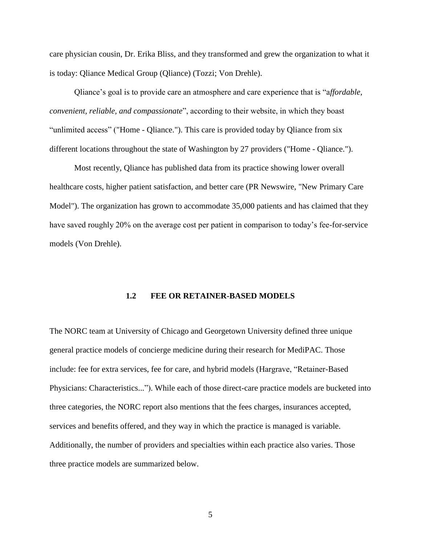care physician cousin, Dr. Erika Bliss, and they transformed and grew the organization to what it is today: Qliance Medical Group (Qliance) (Tozzi; Von Drehle).

Qliance's goal is to provide care an atmosphere and care experience that is "a*ffordable, convenient, reliable, and compassionate*", according to their website, in which they boast "unlimited access" ("Home - Qliance."). This care is provided today by Qliance from six different locations throughout the state of Washington by 27 providers ("Home - Qliance.").

Most recently, Qliance has published data from its practice showing lower overall healthcare costs, higher patient satisfaction, and better care (PR Newswire, "New Primary Care Model"). The organization has grown to accommodate 35,000 patients and has claimed that they have saved roughly 20% on the average cost per patient in comparison to today's fee-for-service models (Von Drehle).

# **1.2 FEE OR RETAINER-BASED MODELS**

<span id="page-13-0"></span>The NORC team at University of Chicago and Georgetown University defined three unique general practice models of concierge medicine during their research for MediPAC. Those include: fee for extra services, fee for care, and hybrid models (Hargrave, "Retainer-Based Physicians: Characteristics..."). While each of those direct-care practice models are bucketed into three categories, the NORC report also mentions that the fees charges, insurances accepted, services and benefits offered, and they way in which the practice is managed is variable. Additionally, the number of providers and specialties within each practice also varies. Those three practice models are summarized below.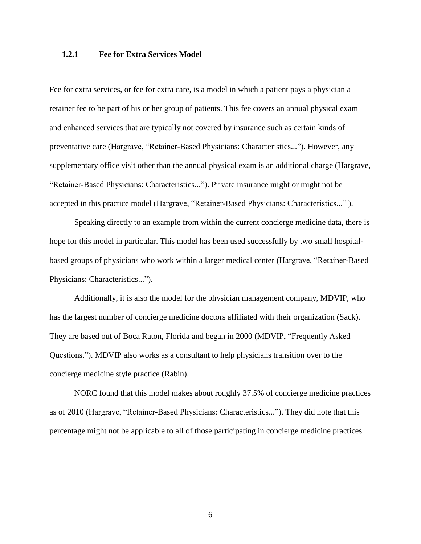# <span id="page-14-0"></span>**1.2.1 Fee for Extra Services Model**

Fee for extra services, or fee for extra care, is a model in which a patient pays a physician a retainer fee to be part of his or her group of patients. This fee covers an annual physical exam and enhanced services that are typically not covered by insurance such as certain kinds of preventative care (Hargrave, "Retainer-Based Physicians: Characteristics..."). However, any supplementary office visit other than the annual physical exam is an additional charge (Hargrave, "Retainer-Based Physicians: Characteristics..."). Private insurance might or might not be accepted in this practice model (Hargrave, "Retainer-Based Physicians: Characteristics..." ).

Speaking directly to an example from within the current concierge medicine data, there is hope for this model in particular. This model has been used successfully by two small hospitalbased groups of physicians who work within a larger medical center (Hargrave, "Retainer-Based Physicians: Characteristics...").

Additionally, it is also the model for the physician management company, MDVIP, who has the largest number of concierge medicine doctors affiliated with their organization (Sack). They are based out of Boca Raton, Florida and began in 2000 (MDVIP, "Frequently Asked Questions."). MDVIP also works as a consultant to help physicians transition over to the concierge medicine style practice (Rabin).

NORC found that this model makes about roughly 37.5% of concierge medicine practices as of 2010 (Hargrave, "Retainer-Based Physicians: Characteristics..."). They did note that this percentage might not be applicable to all of those participating in concierge medicine practices.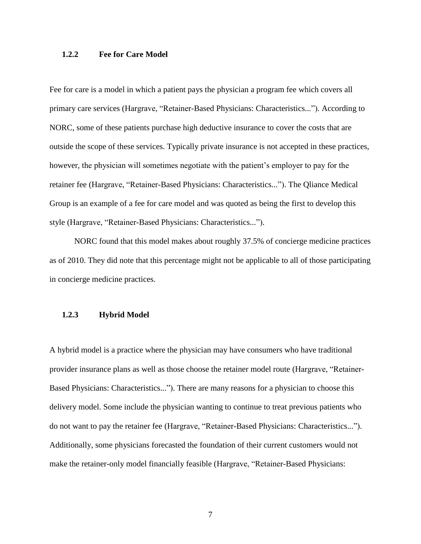# <span id="page-15-0"></span>**1.2.2 Fee for Care Model**

Fee for care is a model in which a patient pays the physician a program fee which covers all primary care services (Hargrave, "Retainer-Based Physicians: Characteristics..."). According to NORC, some of these patients purchase high deductive insurance to cover the costs that are outside the scope of these services. Typically private insurance is not accepted in these practices, however, the physician will sometimes negotiate with the patient's employer to pay for the retainer fee (Hargrave, "Retainer-Based Physicians: Characteristics..."). The Qliance Medical Group is an example of a fee for care model and was quoted as being the first to develop this style (Hargrave, "Retainer-Based Physicians: Characteristics...").

NORC found that this model makes about roughly 37.5% of concierge medicine practices as of 2010. They did note that this percentage might not be applicable to all of those participating in concierge medicine practices.

#### <span id="page-15-1"></span>**1.2.3 Hybrid Model**

A hybrid model is a practice where the physician may have consumers who have traditional provider insurance plans as well as those choose the retainer model route (Hargrave, "Retainer-Based Physicians: Characteristics..."). There are many reasons for a physician to choose this delivery model. Some include the physician wanting to continue to treat previous patients who do not want to pay the retainer fee (Hargrave, "Retainer-Based Physicians: Characteristics..."). Additionally, some physicians forecasted the foundation of their current customers would not make the retainer-only model financially feasible (Hargrave, "Retainer-Based Physicians: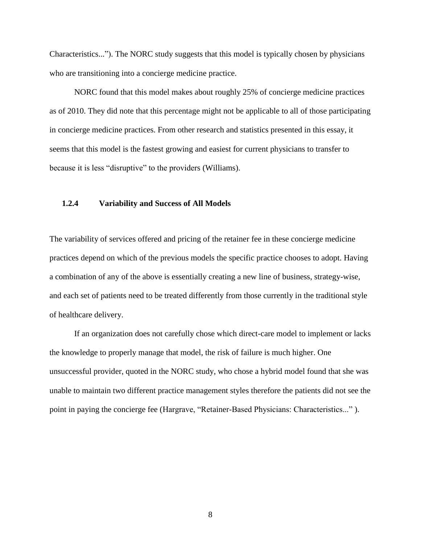Characteristics..."). The NORC study suggests that this model is typically chosen by physicians who are transitioning into a concierge medicine practice.

NORC found that this model makes about roughly 25% of concierge medicine practices as of 2010. They did note that this percentage might not be applicable to all of those participating in concierge medicine practices. From other research and statistics presented in this essay, it seems that this model is the fastest growing and easiest for current physicians to transfer to because it is less "disruptive" to the providers (Williams).

#### <span id="page-16-0"></span>**1.2.4 Variability and Success of All Models**

The variability of services offered and pricing of the retainer fee in these concierge medicine practices depend on which of the previous models the specific practice chooses to adopt. Having a combination of any of the above is essentially creating a new line of business, strategy-wise, and each set of patients need to be treated differently from those currently in the traditional style of healthcare delivery.

If an organization does not carefully chose which direct-care model to implement or lacks the knowledge to properly manage that model, the risk of failure is much higher. One unsuccessful provider, quoted in the NORC study, who chose a hybrid model found that she was unable to maintain two different practice management styles therefore the patients did not see the point in paying the concierge fee (Hargrave, "Retainer-Based Physicians: Characteristics..." ).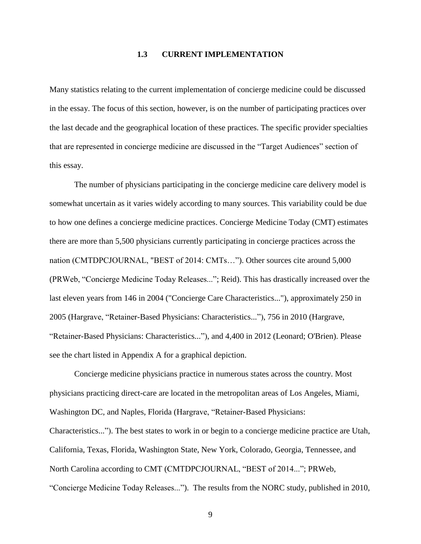#### **1.3 CURRENT IMPLEMENTATION**

<span id="page-17-0"></span>Many statistics relating to the current implementation of concierge medicine could be discussed in the essay. The focus of this section, however, is on the number of participating practices over the last decade and the geographical location of these practices. The specific provider specialties that are represented in concierge medicine are discussed in the "Target Audiences" section of this essay.

The number of physicians participating in the concierge medicine care delivery model is somewhat uncertain as it varies widely according to many sources. This variability could be due to how one defines a concierge medicine practices. Concierge Medicine Today (CMT) estimates there are more than 5,500 physicians currently participating in concierge practices across the nation (CMTDPCJOURNAL, "BEST of 2014: CMTs…"). Other sources cite around 5,000 (PRWeb, "Concierge Medicine Today Releases..."; Reid). This has drastically increased over the last eleven years from 146 in 2004 ("Concierge Care Characteristics..."), approximately 250 in 2005 (Hargrave, "Retainer-Based Physicians: Characteristics..."), 756 in 2010 (Hargrave, "Retainer-Based Physicians: Characteristics..."), and 4,400 in 2012 (Leonard; O'Brien). Please see the chart listed in Appendix A for a graphical depiction.

Concierge medicine physicians practice in numerous states across the country. Most physicians practicing direct-care are located in the metropolitan areas of Los Angeles, Miami, Washington DC, and Naples, Florida (Hargrave, "Retainer-Based Physicians: Characteristics..."). The best states to work in or begin to a concierge medicine practice are Utah, California, Texas, Florida, Washington State, New York, Colorado, Georgia, Tennessee, and North Carolina according to CMT (CMTDPCJOURNAL, "BEST of 2014..."; PRWeb, "Concierge Medicine Today Releases..."). The results from the NORC study, published in 2010,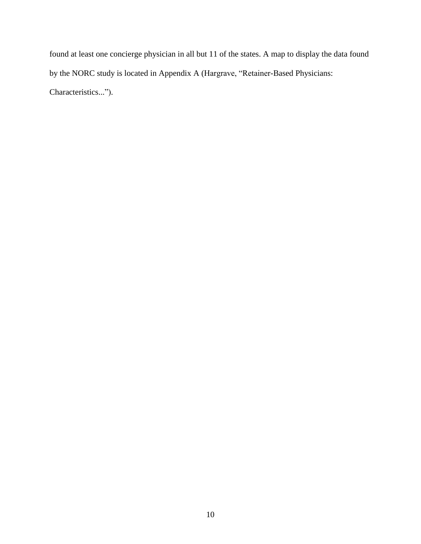found at least one concierge physician in all but 11 of the states. A map to display the data found by the NORC study is located in Appendix A (Hargrave, "Retainer-Based Physicians: Characteristics...").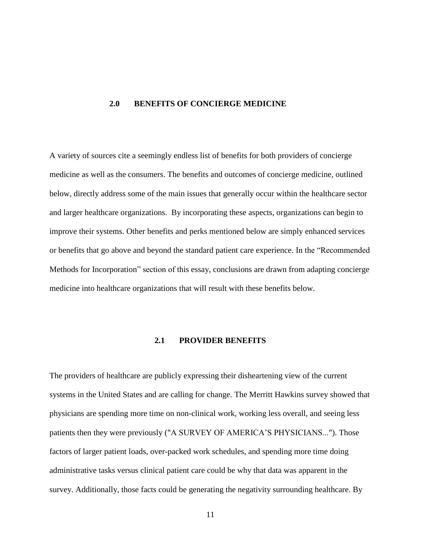#### <span id="page-19-0"></span>**2.0 BENEFITS OF CONCIERGE MEDICINE**

A variety of sources cite a seemingly endless list of benefits for both providers of concierge medicine as well as the consumers. The benefits and outcomes of concierge medicine, outlined below, directly address some of the main issues that generally occur within the healthcare sector and larger healthcare organizations. By incorporating these aspects, organizations can begin to improve their systems. Other benefits and perks mentioned below are simply enhanced services or benefits that go above and beyond the standard patient care experience. In the "Recommended Methods for Incorporation" section of this essay, conclusions are drawn from adapting concierge medicine into healthcare organizations that will result with these benefits below.

# **2.1 PROVIDER BENEFITS**

<span id="page-19-1"></span>The providers of healthcare are publicly expressing their disheartening view of the current systems in the United States and are calling for change. The Merritt Hawkins survey showed that physicians are spending more time on non-clinical work, working less overall, and seeing less patients then they were previously ("A SURVEY OF AMERICA'S PHYSICIANS..."). Those factors of larger patient loads, over-packed work schedules, and spending more time doing administrative tasks versus clinical patient care could be why that data was apparent in the survey. Additionally, those facts could be generating the negativity surrounding healthcare. By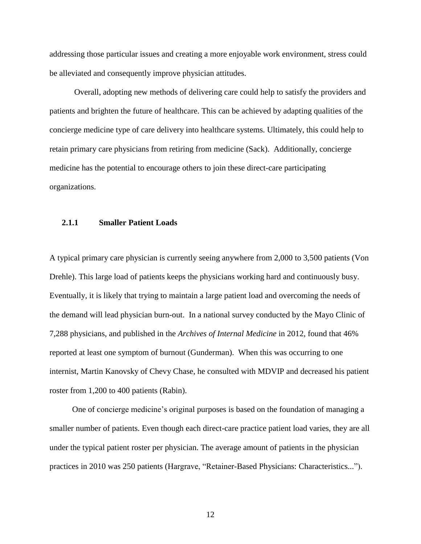addressing those particular issues and creating a more enjoyable work environment, stress could be alleviated and consequently improve physician attitudes.

Overall, adopting new methods of delivering care could help to satisfy the providers and patients and brighten the future of healthcare. This can be achieved by adapting qualities of the concierge medicine type of care delivery into healthcare systems. Ultimately, this could help to retain primary care physicians from retiring from medicine (Sack). Additionally, concierge medicine has the potential to encourage others to join these direct-care participating organizations.

#### <span id="page-20-0"></span>**2.1.1 Smaller Patient Loads**

A typical primary care physician is currently seeing anywhere from 2,000 to 3,500 patients (Von Drehle). This large load of patients keeps the physicians working hard and continuously busy. Eventually, it is likely that trying to maintain a large patient load and overcoming the needs of the demand will lead physician burn-out. In a national survey conducted by the Mayo Clinic of 7,288 physicians, and published in the *Archives of Internal Medicine* in 2012, found that 46% reported at least one symptom of burnout (Gunderman). When this was occurring to one internist, Martin Kanovsky of Chevy Chase, he consulted with MDVIP and decreased his patient roster from 1,200 to 400 patients (Rabin).

 One of concierge medicine's original purposes is based on the foundation of managing a smaller number of patients. Even though each direct-care practice patient load varies, they are all under the typical patient roster per physician. The average amount of patients in the physician practices in 2010 was 250 patients (Hargrave, "Retainer-Based Physicians: Characteristics...").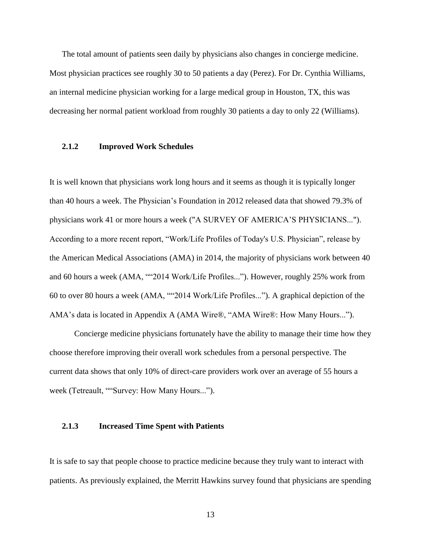The total amount of patients seen daily by physicians also changes in concierge medicine. Most physician practices see roughly 30 to 50 patients a day (Perez). For Dr. Cynthia Williams, an internal medicine physician working for a large medical group in Houston, TX, this was decreasing her normal patient workload from roughly 30 patients a day to only 22 (Williams).

#### <span id="page-21-0"></span>**2.1.2 Improved Work Schedules**

It is well known that physicians work long hours and it seems as though it is typically longer than 40 hours a week. The Physician's Foundation in 2012 released data that showed 79.3% of physicians work 41 or more hours a week ("A SURVEY OF AMERICA'S PHYSICIANS..."). According to a more recent report, "Work/Life Profiles of Today's U.S. Physician", release by the American Medical Associations (AMA) in 2014, the majority of physicians work between 40 and 60 hours a week (AMA, ""2014 Work/Life Profiles..."). However, roughly 25% work from 60 to over 80 hours a week (AMA, ""2014 Work/Life Profiles..."). A graphical depiction of the AMA's data is located in Appendix A (AMA Wire®, "AMA Wire®: How Many Hours...").

Concierge medicine physicians fortunately have the ability to manage their time how they choose therefore improving their overall work schedules from a personal perspective. The current data shows that only 10% of direct-care providers work over an average of 55 hours a week (Tetreault, ""Survey: How Many Hours...").

#### <span id="page-21-1"></span>**2.1.3 Increased Time Spent with Patients**

It is safe to say that people choose to practice medicine because they truly want to interact with patients. As previously explained, the Merritt Hawkins survey found that physicians are spending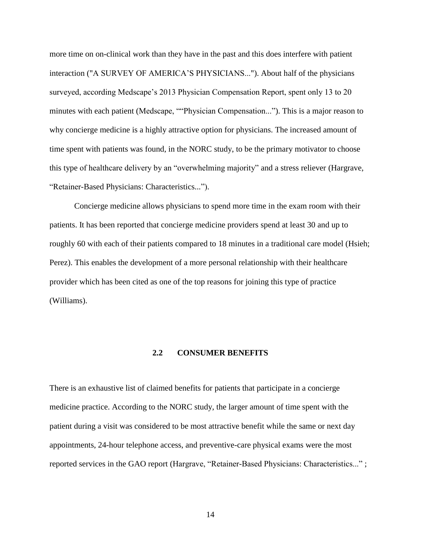more time on on-clinical work than they have in the past and this does interfere with patient interaction ("A SURVEY OF AMERICA'S PHYSICIANS..."). About half of the physicians surveyed, according Medscape's 2013 Physician Compensation Report, spent only 13 to 20 minutes with each patient (Medscape, ""Physician Compensation..."). This is a major reason to why concierge medicine is a highly attractive option for physicians. The increased amount of time spent with patients was found, in the NORC study, to be the primary motivator to choose this type of healthcare delivery by an "overwhelming majority" and a stress reliever (Hargrave, "Retainer-Based Physicians: Characteristics...").

Concierge medicine allows physicians to spend more time in the exam room with their patients. It has been reported that concierge medicine providers spend at least 30 and up to roughly 60 with each of their patients compared to 18 minutes in a traditional care model (Hsieh; Perez). This enables the development of a more personal relationship with their healthcare provider which has been cited as one of the top reasons for joining this type of practice (Williams).

# **2.2 CONSUMER BENEFITS**

<span id="page-22-0"></span>There is an exhaustive list of claimed benefits for patients that participate in a concierge medicine practice. According to the NORC study, the larger amount of time spent with the patient during a visit was considered to be most attractive benefit while the same or next day appointments, 24-hour telephone access, and preventive-care physical exams were the most reported services in the GAO report (Hargrave, "Retainer-Based Physicians: Characteristics..." ;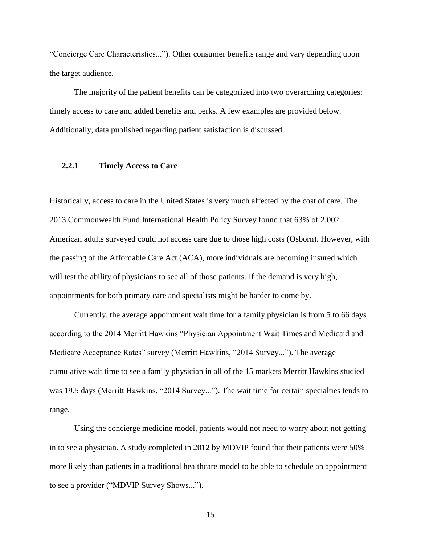"Concierge Care Characteristics..."). Other consumer benefits range and vary depending upon the target audience.

 The majority of the patient benefits can be categorized into two overarching categories: timely access to care and added benefits and perks. A few examples are provided below. Additionally, data published regarding patient satisfaction is discussed.

#### <span id="page-23-0"></span>**2.2.1 Timely Access to Care**

Historically, access to care in the United States is very much affected by the cost of care. The 2013 Commonwealth Fund International Health Policy Survey found that 63% of 2,002 American adults surveyed could not access care due to those high costs (Osborn). However, with the passing of the Affordable Care Act (ACA), more individuals are becoming insured which will test the ability of physicians to see all of those patients. If the demand is very high, appointments for both primary care and specialists might be harder to come by.

Currently, the average appointment wait time for a family physician is from 5 to 66 days according to the 2014 Merritt Hawkins "Physician Appointment Wait Times and Medicaid and Medicare Acceptance Rates" survey (Merritt Hawkins, "2014 Survey..."). The average cumulative wait time to see a family physician in all of the 15 markets Merritt Hawkins studied was 19.5 days (Merritt Hawkins, "2014 Survey..."). The wait time for certain specialties tends to range.

Using the concierge medicine model, patients would not need to worry about not getting in to see a physician. A study completed in 2012 by MDVIP found that their patients were 50% more likely than patients in a traditional healthcare model to be able to schedule an appointment to see a provider ("MDVIP Survey Shows...").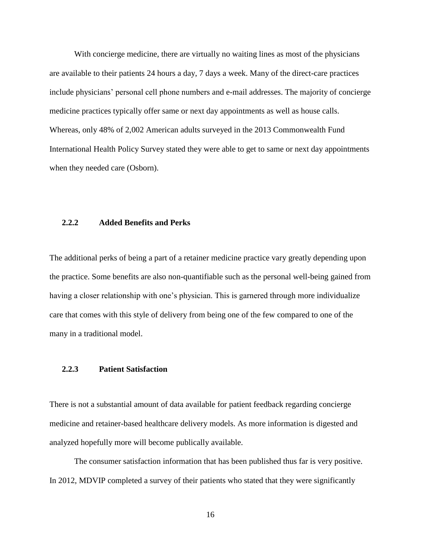With concierge medicine, there are virtually no waiting lines as most of the physicians are available to their patients 24 hours a day, 7 days a week. Many of the direct-care practices include physicians' personal cell phone numbers and e-mail addresses. The majority of concierge medicine practices typically offer same or next day appointments as well as house calls. Whereas, only 48% of 2,002 American adults surveyed in the 2013 Commonwealth Fund International Health Policy Survey stated they were able to get to same or next day appointments when they needed care (Osborn).

#### <span id="page-24-0"></span>**2.2.2 Added Benefits and Perks**

The additional perks of being a part of a retainer medicine practice vary greatly depending upon the practice. Some benefits are also non-quantifiable such as the personal well-being gained from having a closer relationship with one's physician. This is garnered through more individualize care that comes with this style of delivery from being one of the few compared to one of the many in a traditional model.

#### <span id="page-24-1"></span>**2.2.3 Patient Satisfaction**

There is not a substantial amount of data available for patient feedback regarding concierge medicine and retainer-based healthcare delivery models. As more information is digested and analyzed hopefully more will become publically available.

The consumer satisfaction information that has been published thus far is very positive. In 2012, MDVIP completed a survey of their patients who stated that they were significantly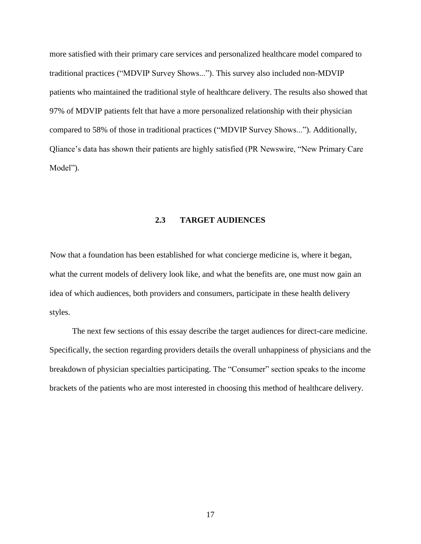more satisfied with their primary care services and personalized healthcare model compared to traditional practices ("MDVIP Survey Shows..."). This survey also included non-MDVIP patients who maintained the traditional style of healthcare delivery. The results also showed that 97% of MDVIP patients felt that have a more personalized relationship with their physician compared to 58% of those in traditional practices ("MDVIP Survey Shows..."). Additionally, Qliance's data has shown their patients are highly satisfied (PR Newswire, "New Primary Care Model").

# **2.3 TARGET AUDIENCES**

<span id="page-25-0"></span>Now that a foundation has been established for what concierge medicine is, where it began, what the current models of delivery look like, and what the benefits are, one must now gain an idea of which audiences, both providers and consumers, participate in these health delivery styles.

 The next few sections of this essay describe the target audiences for direct-care medicine. Specifically, the section regarding providers details the overall unhappiness of physicians and the breakdown of physician specialties participating. The "Consumer" section speaks to the income brackets of the patients who are most interested in choosing this method of healthcare delivery.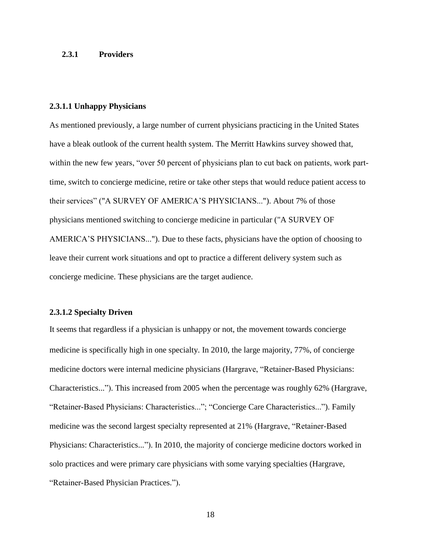#### <span id="page-26-0"></span>**2.3.1 Providers**

#### <span id="page-26-1"></span>**2.3.1.1 Unhappy Physicians**

As mentioned previously, a large number of current physicians practicing in the United States have a bleak outlook of the current health system. The Merritt Hawkins survey showed that, within the new few years, "over 50 percent of physicians plan to cut back on patients, work parttime, switch to concierge medicine, retire or take other steps that would reduce patient access to their services" ("A SURVEY OF AMERICA'S PHYSICIANS..."). About 7% of those physicians mentioned switching to concierge medicine in particular ("A SURVEY OF AMERICA'S PHYSICIANS..."). Due to these facts, physicians have the option of choosing to leave their current work situations and opt to practice a different delivery system such as concierge medicine. These physicians are the target audience.

#### <span id="page-26-2"></span>**2.3.1.2 Specialty Driven**

It seems that regardless if a physician is unhappy or not, the movement towards concierge medicine is specifically high in one specialty. In 2010, the large majority, 77%, of concierge medicine doctors were internal medicine physicians (Hargrave, "Retainer-Based Physicians: Characteristics..."). This increased from 2005 when the percentage was roughly 62% (Hargrave, "Retainer-Based Physicians: Characteristics..."; "Concierge Care Characteristics..."). Family medicine was the second largest specialty represented at 21% (Hargrave, "Retainer-Based Physicians: Characteristics..."). In 2010, the majority of concierge medicine doctors worked in solo practices and were primary care physicians with some varying specialties (Hargrave, "Retainer-Based Physician Practices.").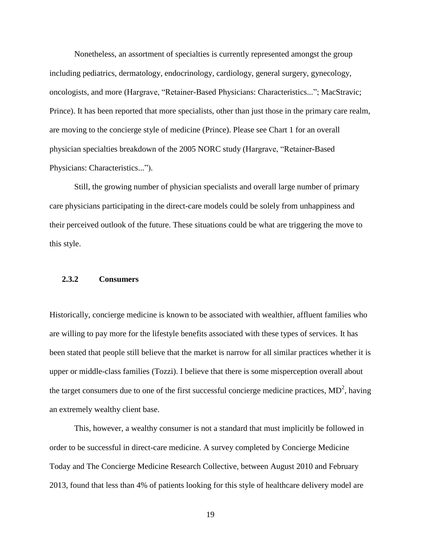Nonetheless, an assortment of specialties is currently represented amongst the group including pediatrics, dermatology, endocrinology, cardiology, general surgery, gynecology, oncologists, and more (Hargrave, "Retainer-Based Physicians: Characteristics..."; MacStravic; Prince). It has been reported that more specialists, other than just those in the primary care realm, are moving to the concierge style of medicine (Prince). Please see Chart 1 for an overall physician specialties breakdown of the 2005 NORC study (Hargrave, "Retainer-Based Physicians: Characteristics...").

Still, the growing number of physician specialists and overall large number of primary care physicians participating in the direct-care models could be solely from unhappiness and their perceived outlook of the future. These situations could be what are triggering the move to this style.

# <span id="page-27-0"></span>**2.3.2 Consumers**

Historically, concierge medicine is known to be associated with wealthier, affluent families who are willing to pay more for the lifestyle benefits associated with these types of services. It has been stated that people still believe that the market is narrow for all similar practices whether it is upper or middle-class families (Tozzi). I believe that there is some misperception overall about the target consumers due to one of the first successful concierge medicine practices,  $MD<sup>2</sup>$ , having an extremely wealthy client base.

This, however, a wealthy consumer is not a standard that must implicitly be followed in order to be successful in direct-care medicine. A survey completed by Concierge Medicine Today and The Concierge Medicine Research Collective, between August 2010 and February 2013, found that less than 4% of patients looking for this style of healthcare delivery model are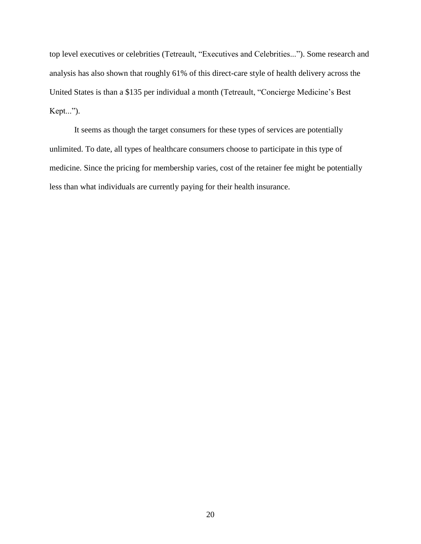top level executives or celebrities (Tetreault, "Executives and Celebrities..."). Some research and analysis has also shown that roughly 61% of this direct-care style of health delivery across the United States is than a \$135 per individual a month (Tetreault, "Concierge Medicine's Best Kept...").

It seems as though the target consumers for these types of services are potentially unlimited. To date, all types of healthcare consumers choose to participate in this type of medicine. Since the pricing for membership varies, cost of the retainer fee might be potentially less than what individuals are currently paying for their health insurance.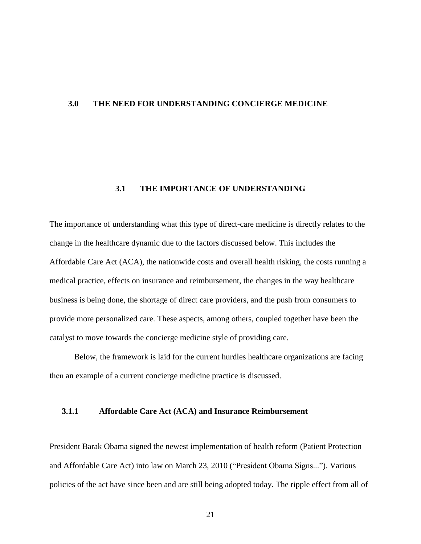#### <span id="page-29-1"></span><span id="page-29-0"></span>**3.0 THE NEED FOR UNDERSTANDING CONCIERGE MEDICINE**

# **3.1 THE IMPORTANCE OF UNDERSTANDING**

The importance of understanding what this type of direct-care medicine is directly relates to the change in the healthcare dynamic due to the factors discussed below. This includes the Affordable Care Act (ACA), the nationwide costs and overall health risking, the costs running a medical practice, effects on insurance and reimbursement, the changes in the way healthcare business is being done, the shortage of direct care providers, and the push from consumers to provide more personalized care. These aspects, among others, coupled together have been the catalyst to move towards the concierge medicine style of providing care.

 Below, the framework is laid for the current hurdles healthcare organizations are facing then an example of a current concierge medicine practice is discussed.

# <span id="page-29-2"></span>**3.1.1 Affordable Care Act (ACA) and Insurance Reimbursement**

President Barak Obama signed the newest implementation of health reform (Patient Protection and Affordable Care Act) into law on March 23, 2010 ("President Obama Signs..."). Various policies of the act have since been and are still being adopted today. The ripple effect from all of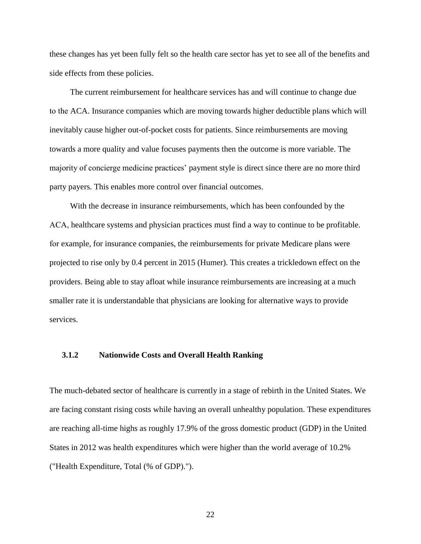these changes has yet been fully felt so the health care sector has yet to see all of the benefits and side effects from these policies.

 The current reimbursement for healthcare services has and will continue to change due to the ACA. Insurance companies which are moving towards higher deductible plans which will inevitably cause higher out-of-pocket costs for patients. Since reimbursements are moving towards a more quality and value focuses payments then the outcome is more variable. The majority of concierge medicine practices' payment style is direct since there are no more third party payers. This enables more control over financial outcomes.

 With the decrease in insurance reimbursements, which has been confounded by the ACA, healthcare systems and physician practices must find a way to continue to be profitable. for example, for insurance companies, the reimbursements for private Medicare plans were projected to rise only by 0.4 percent in 2015 (Humer). This creates a trickledown effect on the providers. Being able to stay afloat while insurance reimbursements are increasing at a much smaller rate it is understandable that physicians are looking for alternative ways to provide services.

# <span id="page-30-0"></span>**3.1.2 Nationwide Costs and Overall Health Ranking**

The much-debated sector of healthcare is currently in a stage of rebirth in the United States. We are facing constant rising costs while having an overall unhealthy population. These expenditures are reaching all-time highs as roughly 17.9% of the gross domestic product (GDP) in the United States in 2012 was health expenditures which were higher than the world average of 10.2% ("Health Expenditure, Total (% of GDP).").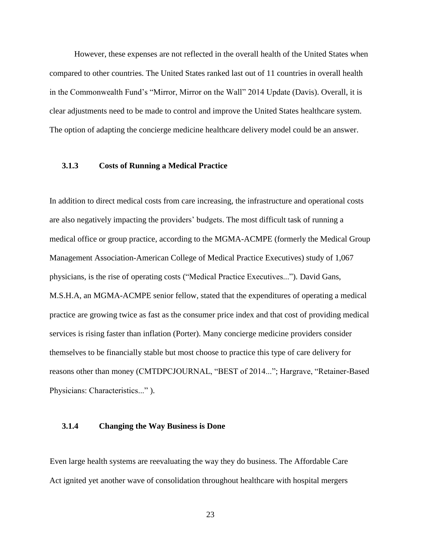However, these expenses are not reflected in the overall health of the United States when compared to other countries. The United States ranked last out of 11 countries in overall health in the Commonwealth Fund's "Mirror, Mirror on the Wall" 2014 Update (Davis). Overall, it is clear adjustments need to be made to control and improve the United States healthcare system. The option of adapting the concierge medicine healthcare delivery model could be an answer.

#### <span id="page-31-0"></span>**3.1.3 Costs of Running a Medical Practice**

In addition to direct medical costs from care increasing, the infrastructure and operational costs are also negatively impacting the providers' budgets. The most difficult task of running a medical office or group practice, according to the MGMA-ACMPE (formerly the Medical Group Management Association-American College of Medical Practice Executives) study of 1,067 physicians, is the rise of operating costs ("Medical Practice Executives..."). David Gans, M.S.H.A, an MGMA-ACMPE senior fellow, stated that the expenditures of operating a medical practice are growing twice as fast as the consumer price index and that cost of providing medical services is rising faster than inflation (Porter). Many concierge medicine providers consider themselves to be financially stable but most choose to practice this type of care delivery for reasons other than money (CMTDPCJOURNAL, "BEST of 2014..."; Hargrave, "Retainer-Based Physicians: Characteristics..." ).

#### <span id="page-31-1"></span>**3.1.4 Changing the Way Business is Done**

Even large health systems are reevaluating the way they do business. The Affordable Care Act ignited yet another wave of consolidation throughout healthcare with hospital mergers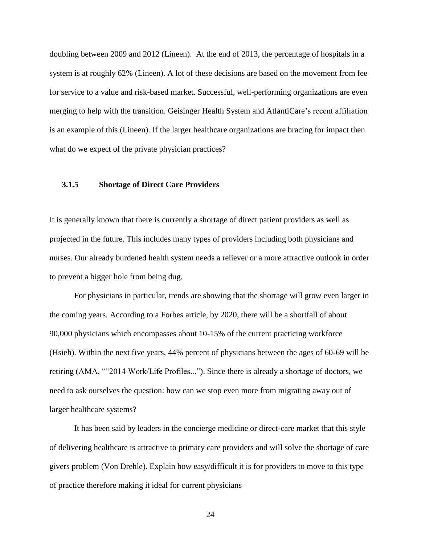doubling between 2009 and 2012 (Lineen). At the end of 2013, the percentage of hospitals in a system is at roughly 62% (Lineen). A lot of these decisions are based on the movement from fee for service to a value and risk-based market. Successful, well-performing organizations are even merging to help with the transition. Geisinger Health System and AtlantiCare's recent affiliation is an example of this (Lineen). If the larger healthcare organizations are bracing for impact then what do we expect of the private physician practices?

#### <span id="page-32-0"></span>**3.1.5 Shortage of Direct Care Providers**

It is generally known that there is currently a shortage of direct patient providers as well as projected in the future. This includes many types of providers including both physicians and nurses. Our already burdened health system needs a reliever or a more attractive outlook in order to prevent a bigger hole from being dug.

For physicians in particular, trends are showing that the shortage will grow even larger in the coming years. According to a Forbes article, by 2020, there will be a shortfall of about 90,000 physicians which encompasses about 10-15% of the current practicing workforce (Hsieh). Within the next five years, 44% percent of physicians between the ages of 60-69 will be retiring (AMA, ""2014 Work/Life Profiles..."). Since there is already a shortage of doctors, we need to ask ourselves the question: how can we stop even more from migrating away out of larger healthcare systems?

It has been said by leaders in the concierge medicine or direct-care market that this style of delivering healthcare is attractive to primary care providers and will solve the shortage of care givers problem (Von Drehle). Explain how easy/difficult it is for providers to move to this type of practice therefore making it ideal for current physicians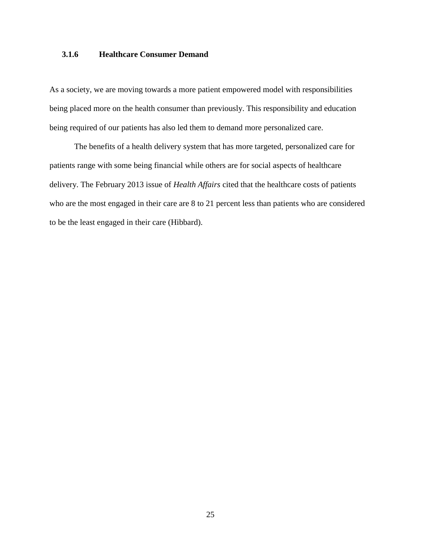# <span id="page-33-0"></span>**3.1.6 Healthcare Consumer Demand**

As a society, we are moving towards a more patient empowered model with responsibilities being placed more on the health consumer than previously. This responsibility and education being required of our patients has also led them to demand more personalized care.

The benefits of a health delivery system that has more targeted, personalized care for patients range with some being financial while others are for social aspects of healthcare delivery. The February 2013 issue of *Health Affairs* cited that the healthcare costs of patients who are the most engaged in their care are 8 to 21 percent less than patients who are considered to be the least engaged in their care (Hibbard).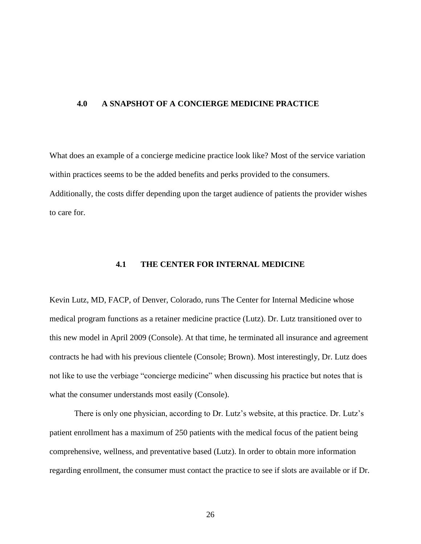#### <span id="page-34-0"></span>**4.0 A SNAPSHOT OF A CONCIERGE MEDICINE PRACTICE**

What does an example of a concierge medicine practice look like? Most of the service variation within practices seems to be the added benefits and perks provided to the consumers. Additionally, the costs differ depending upon the target audience of patients the provider wishes to care for.

# **4.1 THE CENTER FOR INTERNAL MEDICINE**

<span id="page-34-1"></span>Kevin Lutz, MD, FACP, of Denver, Colorado, runs The Center for Internal Medicine whose medical program functions as a retainer medicine practice (Lutz). Dr. Lutz transitioned over to this new model in April 2009 (Console). At that time, he terminated all insurance and agreement contracts he had with his previous clientele (Console; Brown). Most interestingly, Dr. Lutz does not like to use the verbiage "concierge medicine" when discussing his practice but notes that is what the consumer understands most easily (Console).

There is only one physician, according to Dr. Lutz's website, at this practice. Dr. Lutz's patient enrollment has a maximum of 250 patients with the medical focus of the patient being comprehensive, wellness, and preventative based (Lutz). In order to obtain more information regarding enrollment, the consumer must contact the practice to see if slots are available or if Dr.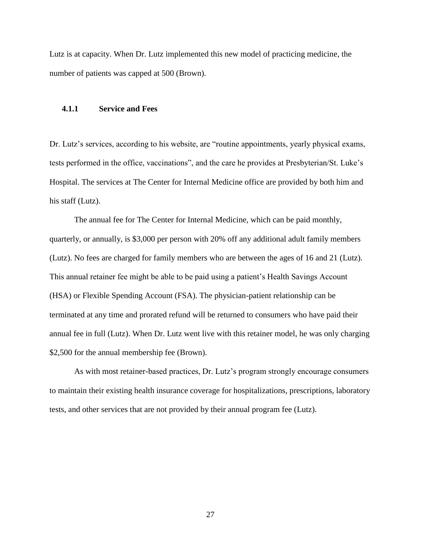Lutz is at capacity. When Dr. Lutz implemented this new model of practicing medicine, the number of patients was capped at 500 (Brown).

#### <span id="page-35-0"></span>**4.1.1 Service and Fees**

Dr. Lutz's services, according to his website, are "routine appointments, yearly physical exams, tests performed in the office, vaccinations", and the care he provides at Presbyterian/St. Luke's Hospital. The services at The Center for Internal Medicine office are provided by both him and his staff (Lutz).

The annual fee for The Center for Internal Medicine, which can be paid monthly, quarterly, or annually, is \$3,000 per person with 20% off any additional adult family members (Lutz). No fees are charged for family members who are between the ages of 16 and 21 (Lutz). This annual retainer fee might be able to be paid using a patient's Health Savings Account (HSA) or Flexible Spending Account (FSA). The physician-patient relationship can be terminated at any time and prorated refund will be returned to consumers who have paid their annual fee in full (Lutz). When Dr. Lutz went live with this retainer model, he was only charging \$2,500 for the annual membership fee (Brown).

As with most retainer-based practices, Dr. Lutz's program strongly encourage consumers to maintain their existing health insurance coverage for hospitalizations, prescriptions, laboratory tests, and other services that are not provided by their annual program fee (Lutz).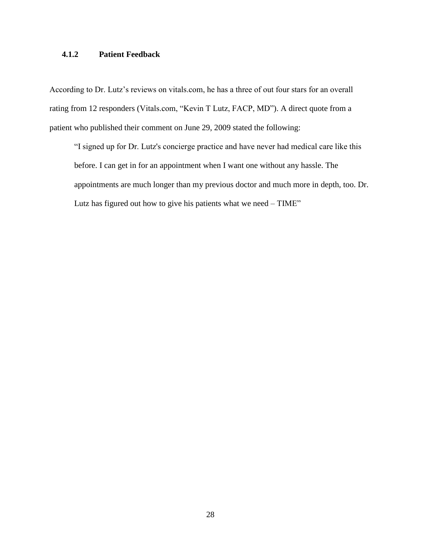# <span id="page-36-0"></span>**4.1.2 Patient Feedback**

According to Dr. Lutz's reviews on vitals.com, he has a three of out four stars for an overall rating from 12 responders (Vitals.com, "Kevin T Lutz, FACP, MD"). A direct quote from a patient who published their comment on June 29, 2009 stated the following:

"I signed up for Dr. Lutz's concierge practice and have never had medical care like this before. I can get in for an appointment when I want one without any hassle. The appointments are much longer than my previous doctor and much more in depth, too. Dr. Lutz has figured out how to give his patients what we need – TIME"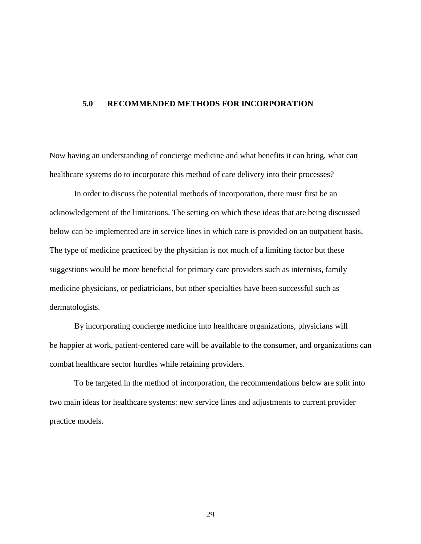# <span id="page-37-0"></span>**5.0 RECOMMENDED METHODS FOR INCORPORATION**

Now having an understanding of concierge medicine and what benefits it can bring, what can healthcare systems do to incorporate this method of care delivery into their processes?

In order to discuss the potential methods of incorporation, there must first be an acknowledgement of the limitations. The setting on which these ideas that are being discussed below can be implemented are in service lines in which care is provided on an outpatient basis. The type of medicine practiced by the physician is not much of a limiting factor but these suggestions would be more beneficial for primary care providers such as internists, family medicine physicians, or pediatricians, but other specialties have been successful such as dermatologists.

 By incorporating concierge medicine into healthcare organizations, physicians will be happier at work, patient-centered care will be available to the consumer, and organizations can combat healthcare sector hurdles while retaining providers.

To be targeted in the method of incorporation, the recommendations below are split into two main ideas for healthcare systems: new service lines and adjustments to current provider practice models.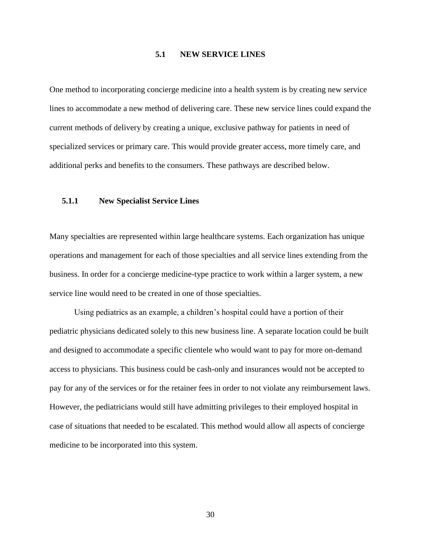# **5.1 NEW SERVICE LINES**

<span id="page-38-0"></span>One method to incorporating concierge medicine into a health system is by creating new service lines to accommodate a new method of delivering care. These new service lines could expand the current methods of delivery by creating a unique, exclusive pathway for patients in need of specialized services or primary care. This would provide greater access, more timely care, and additional perks and benefits to the consumers. These pathways are described below.

## <span id="page-38-1"></span>**5.1.1 New Specialist Service Lines**

Many specialties are represented within large healthcare systems. Each organization has unique operations and management for each of those specialties and all service lines extending from the business. In order for a concierge medicine-type practice to work within a larger system, a new service line would need to be created in one of those specialties.

Using pediatrics as an example, a children's hospital could have a portion of their pediatric physicians dedicated solely to this new business line. A separate location could be built and designed to accommodate a specific clientele who would want to pay for more on-demand access to physicians. This business could be cash-only and insurances would not be accepted to pay for any of the services or for the retainer fees in order to not violate any reimbursement laws. However, the pediatricians would still have admitting privileges to their employed hospital in case of situations that needed to be escalated. This method would allow all aspects of concierge medicine to be incorporated into this system.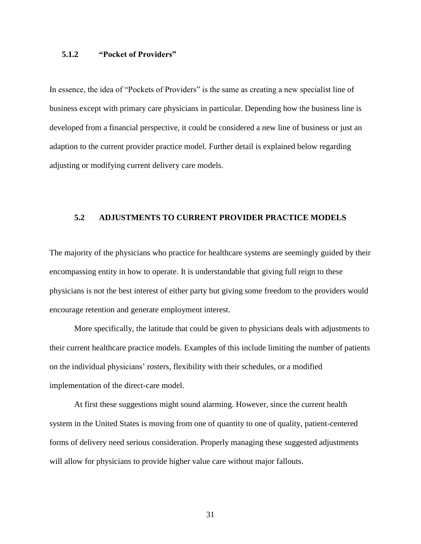# <span id="page-39-0"></span>**5.1.2 "Pocket of Providers"**

In essence, the idea of "Pockets of Providers" is the same as creating a new specialist line of business except with primary care physicians in particular. Depending how the business line is developed from a financial perspective, it could be considered a new line of business or just an adaption to the current provider practice model. Further detail is explained below regarding adjusting or modifying current delivery care models.

### <span id="page-39-1"></span>**5.2 ADJUSTMENTS TO CURRENT PROVIDER PRACTICE MODELS**

The majority of the physicians who practice for healthcare systems are seemingly guided by their encompassing entity in how to operate. It is understandable that giving full reign to these physicians is not the best interest of either party but giving some freedom to the providers would encourage retention and generate employment interest.

More specifically, the latitude that could be given to physicians deals with adjustments to their current healthcare practice models. Examples of this include limiting the number of patients on the individual physicians' rosters, flexibility with their schedules, or a modified implementation of the direct-care model.

At first these suggestions might sound alarming. However, since the current health system in the United States is moving from one of quantity to one of quality, patient-centered forms of delivery need serious consideration. Properly managing these suggested adjustments will allow for physicians to provide higher value care without major fallouts.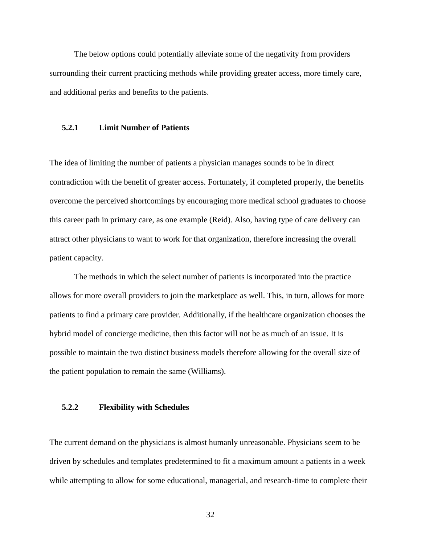The below options could potentially alleviate some of the negativity from providers surrounding their current practicing methods while providing greater access, more timely care, and additional perks and benefits to the patients.

#### <span id="page-40-0"></span>**5.2.1 Limit Number of Patients**

The idea of limiting the number of patients a physician manages sounds to be in direct contradiction with the benefit of greater access. Fortunately, if completed properly, the benefits overcome the perceived shortcomings by encouraging more medical school graduates to choose this career path in primary care, as one example (Reid). Also, having type of care delivery can attract other physicians to want to work for that organization, therefore increasing the overall patient capacity.

The methods in which the select number of patients is incorporated into the practice allows for more overall providers to join the marketplace as well. This, in turn, allows for more patients to find a primary care provider. Additionally, if the healthcare organization chooses the hybrid model of concierge medicine, then this factor will not be as much of an issue. It is possible to maintain the two distinct business models therefore allowing for the overall size of the patient population to remain the same (Williams).

#### <span id="page-40-1"></span>**5.2.2 Flexibility with Schedules**

The current demand on the physicians is almost humanly unreasonable. Physicians seem to be driven by schedules and templates predetermined to fit a maximum amount a patients in a week while attempting to allow for some educational, managerial, and research-time to complete their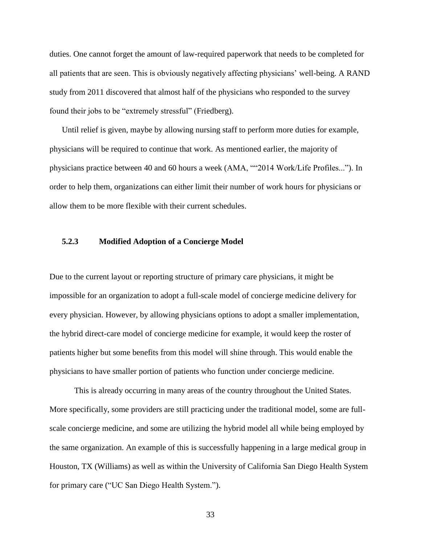duties. One cannot forget the amount of law-required paperwork that needs to be completed for all patients that are seen. This is obviously negatively affecting physicians' well-being. A RAND study from 2011 discovered that almost half of the physicians who responded to the survey found their jobs to be "extremely stressful" (Friedberg).

Until relief is given, maybe by allowing nursing staff to perform more duties for example, physicians will be required to continue that work. As mentioned earlier, the majority of physicians practice between 40 and 60 hours a week (AMA, ""2014 Work/Life Profiles..."). In order to help them, organizations can either limit their number of work hours for physicians or allow them to be more flexible with their current schedules.

#### <span id="page-41-0"></span>**5.2.3 Modified Adoption of a Concierge Model**

Due to the current layout or reporting structure of primary care physicians, it might be impossible for an organization to adopt a full-scale model of concierge medicine delivery for every physician. However, by allowing physicians options to adopt a smaller implementation, the hybrid direct-care model of concierge medicine for example, it would keep the roster of patients higher but some benefits from this model will shine through. This would enable the physicians to have smaller portion of patients who function under concierge medicine.

This is already occurring in many areas of the country throughout the United States. More specifically, some providers are still practicing under the traditional model, some are fullscale concierge medicine, and some are utilizing the hybrid model all while being employed by the same organization. An example of this is successfully happening in a large medical group in Houston, TX (Williams) as well as within the University of California San Diego Health System for primary care ("UC San Diego Health System.").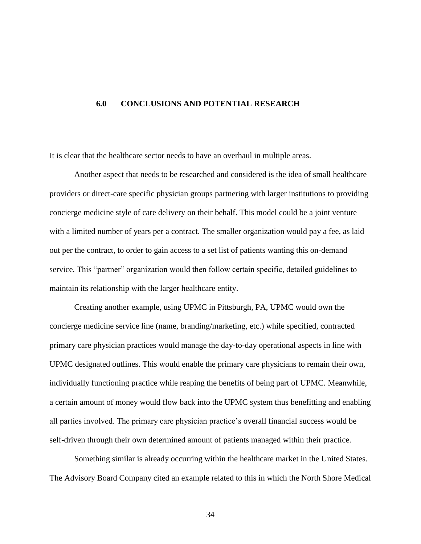# <span id="page-42-0"></span>**6.0 CONCLUSIONS AND POTENTIAL RESEARCH**

It is clear that the healthcare sector needs to have an overhaul in multiple areas.

Another aspect that needs to be researched and considered is the idea of small healthcare providers or direct-care specific physician groups partnering with larger institutions to providing concierge medicine style of care delivery on their behalf. This model could be a joint venture with a limited number of years per a contract. The smaller organization would pay a fee, as laid out per the contract, to order to gain access to a set list of patients wanting this on-demand service. This "partner" organization would then follow certain specific, detailed guidelines to maintain its relationship with the larger healthcare entity.

Creating another example, using UPMC in Pittsburgh, PA, UPMC would own the concierge medicine service line (name, branding/marketing, etc.) while specified, contracted primary care physician practices would manage the day-to-day operational aspects in line with UPMC designated outlines. This would enable the primary care physicians to remain their own, individually functioning practice while reaping the benefits of being part of UPMC. Meanwhile, a certain amount of money would flow back into the UPMC system thus benefitting and enabling all parties involved. The primary care physician practice's overall financial success would be self-driven through their own determined amount of patients managed within their practice.

Something similar is already occurring within the healthcare market in the United States. The Advisory Board Company cited an example related to this in which the North Shore Medical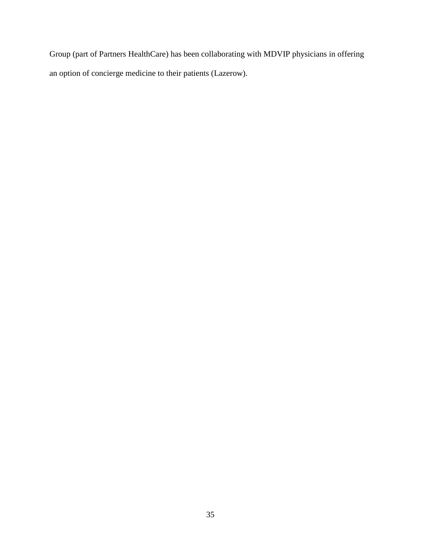Group (part of Partners HealthCare) has been collaborating with MDVIP physicians in offering an option of concierge medicine to their patients (Lazerow).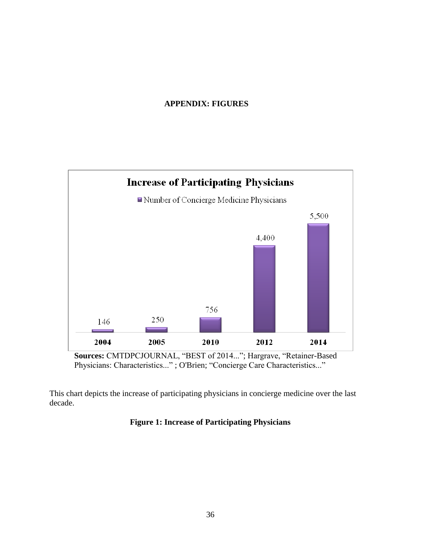# **APPENDIX: FIGURES**

<span id="page-44-0"></span>

Physicians: Characteristics..." ; O'Brien; "Concierge Care Characteristics..."

<span id="page-44-1"></span>This chart depicts the increase of participating physicians in concierge medicine over the last decade.

# **Figure 1: Increase of Participating Physicians**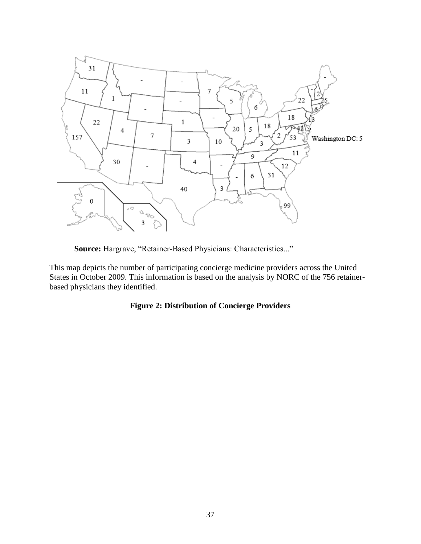

**Source:** Hargrave, "Retainer-Based Physicians: Characteristics..."

<span id="page-45-1"></span>This map depicts the number of participating concierge medicine providers across the United States in October 2009. This information is based on the analysis by NORC of the 756 retainerbased physicians they identified.

# <span id="page-45-0"></span>**Figure 2: Distribution of Concierge Providers**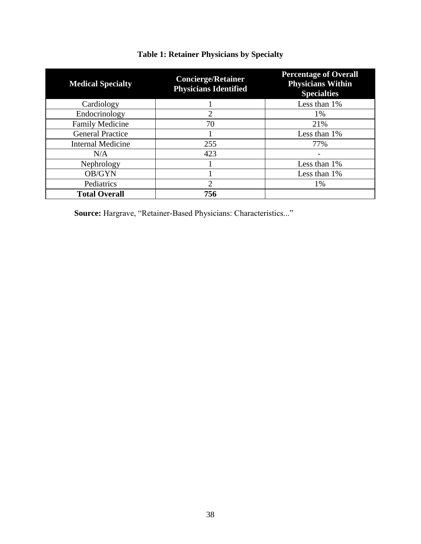| <b>Medical Specialty</b> | <b>Concierge/Retainer</b><br><b>Physicians Identified</b> | <b>Percentage of Overall</b><br><b>Physicians Within</b><br><b>Specialties</b> |
|--------------------------|-----------------------------------------------------------|--------------------------------------------------------------------------------|
| Cardiology               |                                                           | Less than 1%                                                                   |
| Endocrinology            | 2                                                         | 1%                                                                             |
| <b>Family Medicine</b>   | 70                                                        | 21%                                                                            |
| <b>General Practice</b>  |                                                           | Less than 1%                                                                   |
| <b>Internal Medicine</b> | 255                                                       | 77%                                                                            |
| N/A                      | 423                                                       |                                                                                |
| Nephrology               |                                                           | Less than 1%                                                                   |
| OB/GYN                   |                                                           | Less than 1%                                                                   |
| Pediatrics               | $\overline{2}$                                            | 1%                                                                             |
| <b>Total Overall</b>     | 756                                                       |                                                                                |

# **Table 1: Retainer Physicians by Specialty**

**Source:** Hargrave, "Retainer-Based Physicians: Characteristics..."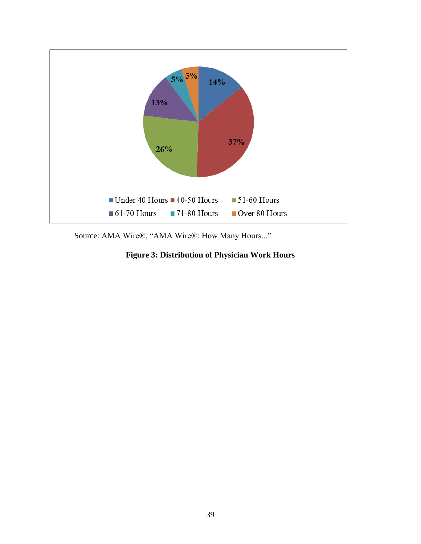

<span id="page-47-0"></span>Source: AMA Wire®, "AMA Wire®: How Many Hours..."

**Figure 3: Distribution of Physician Work Hours**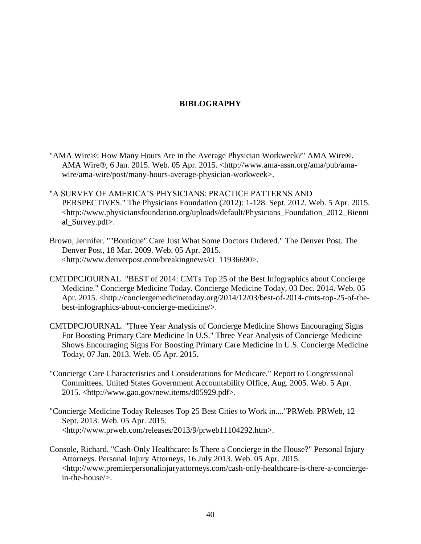# **BIBLOGRAPHY**

- <span id="page-48-0"></span>"AMA Wire®: How Many Hours Are in the Average Physician Workweek?" AMA Wire®. AMA Wire®, 6 Jan. 2015. Web. 05 Apr. 2015. <http://www.ama-assn.org/ama/pub/amawire/ama-wire/post/many-hours-average-physician-workweek>.
- "A SURVEY OF AMERICA'S PHYSICIANS: PRACTICE PATTERNS AND PERSPECTIVES." The Physicians Foundation (2012): 1-128. Sept. 2012. Web. 5 Apr. 2015. <http://www.physiciansfoundation.org/uploads/default/Physicians\_Foundation\_2012\_Bienni al\_Survey.pdf>.
- Brown, Jennifer. ""Boutique" Care Just What Some Doctors Ordered." The Denver Post. The Denver Post, 18 Mar. 2009. Web. 05 Apr. 2015. <http://www.denverpost.com/breakingnews/ci\_11936690>.
- CMTDPCJOURNAL. "BEST of 2014: CMTs Top 25 of the Best Infographics about Concierge Medicine." Concierge Medicine Today. Concierge Medicine Today, 03 Dec. 2014. Web. 05 Apr. 2015. <http://conciergemedicinetoday.org/2014/12/03/best-of-2014-cmts-top-25-of-thebest-infographics-about-concierge-medicine/>.
- CMTDPCJOURNAL. "Three Year Analysis of Concierge Medicine Shows Encouraging Signs For Boosting Primary Care Medicine In U.S." Three Year Analysis of Concierge Medicine Shows Encouraging Signs For Boosting Primary Care Medicine In U.S. Concierge Medicine Today, 07 Jan. 2013. Web. 05 Apr. 2015.
- "Concierge Care Characteristics and Considerations for Medicare." Report to Congressional Committees. United States Government Accountability Office, Aug. 2005. Web. 5 Apr. 2015. <http://www.gao.gov/new.items/d05929.pdf>.
- "Concierge Medicine Today Releases Top 25 Best Cities to Work in...."PRWeb. PRWeb, 12 Sept. 2013. Web. 05 Apr. 2015. <http://www.prweb.com/releases/2013/9/prweb11104292.htm>.
- Console, Richard. "Cash-Only Healthcare: Is There a Concierge in the House?" Personal Injury Attorneys. Personal Injury Attorneys, 16 July 2013. Web. 05 Apr. 2015. <http://www.premierpersonalinjuryattorneys.com/cash-only-healthcare-is-there-a-conciergein-the-house/>.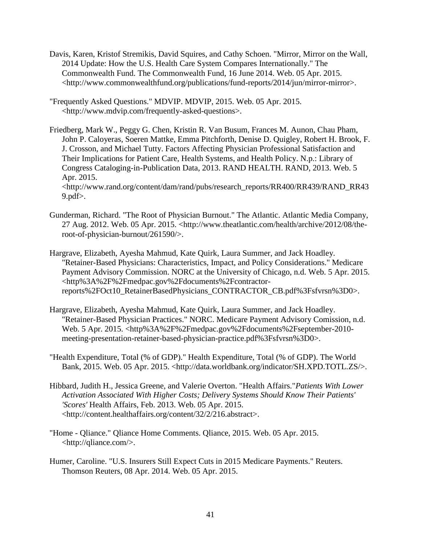- Davis, Karen, Kristof Stremikis, David Squires, and Cathy Schoen. "Mirror, Mirror on the Wall, 2014 Update: How the U.S. Health Care System Compares Internationally." The Commonwealth Fund. The Commonwealth Fund, 16 June 2014. Web. 05 Apr. 2015. <http://www.commonwealthfund.org/publications/fund-reports/2014/jun/mirror-mirror>.
- "Frequently Asked Questions." MDVIP. MDVIP, 2015. Web. 05 Apr. 2015. <http://www.mdvip.com/frequently-asked-questions>.
- Friedberg, Mark W., Peggy G. Chen, Kristin R. Van Busum, Frances M. Aunon, Chau Pham, John P. Caloyeras, Soeren Mattke, Emma Pitchforth, Denise D. Quigley, Robert H. Brook, F. J. Crosson, and Michael Tutty. Factors Affecting Physician Professional Satisfaction and Their Implications for Patient Care, Health Systems, and Health Policy. N.p.: Library of Congress Cataloging-in-Publication Data, 2013. RAND HEALTH. RAND, 2013. Web. 5 Apr. 2015. <http://www.rand.org/content/dam/rand/pubs/research\_reports/RR400/RR439/RAND\_RR43

9.pdf $>$ .

- Gunderman, Richard. "The Root of Physician Burnout." The Atlantic. Atlantic Media Company, 27 Aug. 2012. Web. 05 Apr. 2015. <http://www.theatlantic.com/health/archive/2012/08/theroot-of-physician-burnout/261590/>.
- Hargrave, Elizabeth, Ayesha Mahmud, Kate Quirk, Laura Summer, and Jack Hoadley. "Retainer-Based Physicians: Characteristics, Impact, and Policy Considerations." Medicare Payment Advisory Commission. NORC at the University of Chicago, n.d. Web. 5 Apr. 2015. <http%3A%2F%2Fmedpac.gov%2Fdocuments%2Fcontractorreports%2FOct10\_RetainerBasedPhysicians\_CONTRACTOR\_CB.pdf%3Fsfvrsn%3D0>.
- Hargrave, Elizabeth, Ayesha Mahmud, Kate Quirk, Laura Summer, and Jack Hoadley. "Retainer-Based Physician Practices." NORC. Medicare Payment Advisory Comission, n.d. Web. 5 Apr. 2015. <http%3A%2F%2Fmedpac.gov%2Fdocuments%2Fseptember-2010 meeting-presentation-retainer-based-physician-practice.pdf%3Fsfvrsn%3D0>.
- "Health Expenditure, Total (% of GDP)." Health Expenditure, Total (% of GDP). The World Bank, 2015. Web. 05 Apr. 2015. <http://data.worldbank.org/indicator/SH.XPD.TOTL.ZS/>.
- Hibbard, Judith H., Jessica Greene, and Valerie Overton. "Health Affairs."*Patients With Lower Activation Associated With Higher Costs; Delivery Systems Should Know Their Patients' 'Scores'* Health Affairs, Feb. 2013. Web. 05 Apr. 2015. <http://content.healthaffairs.org/content/32/2/216.abstract>.
- "Home Qliance." Qliance Home Comments. Qliance, 2015. Web. 05 Apr. 2015. <http://qliance.com/>.
- Humer, Caroline. "U.S. Insurers Still Expect Cuts in 2015 Medicare Payments." Reuters. Thomson Reuters, 08 Apr. 2014. Web. 05 Apr. 2015.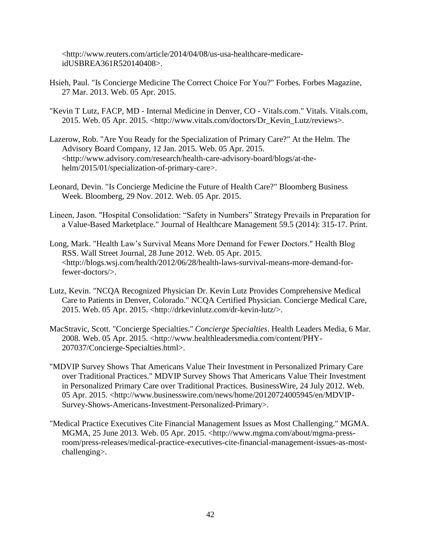<http://www.reuters.com/article/2014/04/08/us-usa-healthcare-medicareidUSBREA361R520140408>.

- Hsieh, Paul. "Is Concierge Medicine The Correct Choice For You?" Forbes. Forbes Magazine, 27 Mar. 2013. Web. 05 Apr. 2015.
- "Kevin T Lutz, FACP, MD Internal Medicine in Denver, CO Vitals.com." Vitals. Vitals.com, 2015. Web. 05 Apr. 2015. <http://www.vitals.com/doctors/Dr\_Kevin\_Lutz/reviews>.
- Lazerow, Rob. "Are You Ready for the Specialization of Primary Care?" At the Helm. The Advisory Board Company, 12 Jan. 2015. Web. 05 Apr. 2015. <http://www.advisory.com/research/health-care-advisory-board/blogs/at-thehelm/2015/01/specialization-of-primary-care>.
- Leonard, Devin. "Is Concierge Medicine the Future of Health Care?" Bloomberg Business Week. Bloomberg, 29 Nov. 2012. Web. 05 Apr. 2015.
- Lineen, Jason. "Hospital Consolidation: "Safety in Numbers" Strategy Prevails in Preparation for a Value-Based Marketplace." Journal of Healthcare Management 59.5 (2014): 315-17. Print.
- Long, Mark. "Health Law's Survival Means More Demand for Fewer Doctors." Health Blog RSS. Wall Street Journal, 28 June 2012. Web. 05 Apr. 2015. <http://blogs.wsj.com/health/2012/06/28/health-laws-survival-means-more-demand-forfewer-doctors/>.
- Lutz, Kevin. "NCQA Recognized Physician Dr. Kevin Lutz Provides Comprehensive Medical Care to Patients in Denver, Colorado." NCQA Certified Physician. Concierge Medical Care, 2015. Web. 05 Apr. 2015. <http://drkevinlutz.com/dr-kevin-lutz/>.
- MacStravic, Scott. "Concierge Specialties." *Concierge Specialties*. Health Leaders Media, 6 Mar. 2008. Web. 05 Apr. 2015. <http://www.healthleadersmedia.com/content/PHY-207037/Concierge-Specialties.html>.
- "MDVIP Survey Shows That Americans Value Their Investment in Personalized Primary Care over Traditional Practices." MDVIP Survey Shows That Americans Value Their Investment in Personalized Primary Care over Traditional Practices. BusinessWire, 24 July 2012. Web. 05 Apr. 2015. <http://www.businesswire.com/news/home/20120724005945/en/MDVIP-Survey-Shows-Americans-Investment-Personalized-Primary>.
- "Medical Practice Executives Cite Financial Management Issues as Most Challenging." MGMA. MGMA, 25 June 2013. Web. 05 Apr. 2015. <http://www.mgma.com/about/mgma-pressroom/press-releases/medical-practice-executives-cite-financial-management-issues-as-mostchallenging>.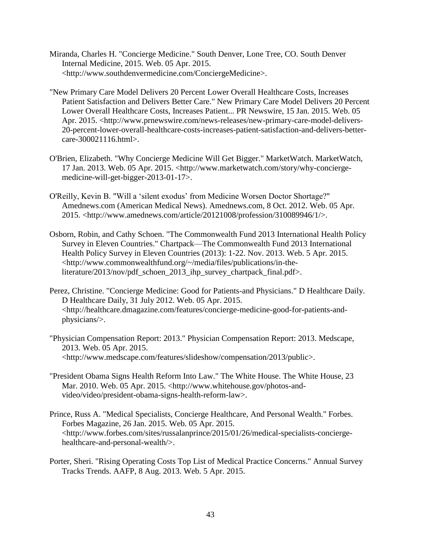- Miranda, Charles H. "Concierge Medicine." South Denver, Lone Tree, CO. South Denver Internal Medicine, 2015. Web. 05 Apr. 2015. <http://www.southdenvermedicine.com/ConciergeMedicine>.
- "New Primary Care Model Delivers 20 Percent Lower Overall Healthcare Costs, Increases Patient Satisfaction and Delivers Better Care." New Primary Care Model Delivers 20 Percent Lower Overall Healthcare Costs, Increases Patient... PR Newswire, 15 Jan. 2015. Web. 05 Apr. 2015. <http://www.prnewswire.com/news-releases/new-primary-care-model-delivers-20-percent-lower-overall-healthcare-costs-increases-patient-satisfaction-and-delivers-bettercare-300021116.html>.
- O'Brien, Elizabeth. "Why Concierge Medicine Will Get Bigger." MarketWatch. MarketWatch, 17 Jan. 2013. Web. 05 Apr. 2015. <http://www.marketwatch.com/story/why-conciergemedicine-will-get-bigger-2013-01-17>.
- O'Reilly, Kevin B. "Will a 'silent exodus' from Medicine Worsen Doctor Shortage?" Amednews.com (American Medical News). Amednews.com, 8 Oct. 2012. Web. 05 Apr. 2015. <http://www.amednews.com/article/20121008/profession/310089946/1/>.
- Osborn, Robin, and Cathy Schoen. "The Commonwealth Fund 2013 International Health Policy Survey in Eleven Countries." Chartpack—The Commonwealth Fund 2013 International Health Policy Survey in Eleven Countries (2013): 1-22. Nov. 2013. Web. 5 Apr. 2015. <http://www.commonwealthfund.org/~/media/files/publications/in-theliterature/2013/nov/pdf\_schoen\_2013\_ihp\_survey\_chartpack\_final.pdf>.
- Perez, Christine. "Concierge Medicine: Good for Patients-and Physicians." D Healthcare Daily. D Healthcare Daily, 31 July 2012. Web. 05 Apr. 2015. <http://healthcare.dmagazine.com/features/concierge-medicine-good-for-patients-andphysicians/>.
- "Physician Compensation Report: 2013." Physician Compensation Report: 2013. Medscape, 2013. Web. 05 Apr. 2015. <http://www.medscape.com/features/slideshow/compensation/2013/public>.
- "President Obama Signs Health Reform Into Law." The White House. The White House, 23 Mar. 2010. Web. 05 Apr. 2015. <http://www.whitehouse.gov/photos-andvideo/video/president-obama-signs-health-reform-law>.
- Prince, Russ A. "Medical Specialists, Concierge Healthcare, And Personal Wealth." Forbes. Forbes Magazine, 26 Jan. 2015. Web. 05 Apr. 2015. <http://www.forbes.com/sites/russalanprince/2015/01/26/medical-specialists-conciergehealthcare-and-personal-wealth/>.
- Porter, Sheri. "Rising Operating Costs Top List of Medical Practice Concerns." Annual Survey Tracks Trends. AAFP, 8 Aug. 2013. Web. 5 Apr. 2015.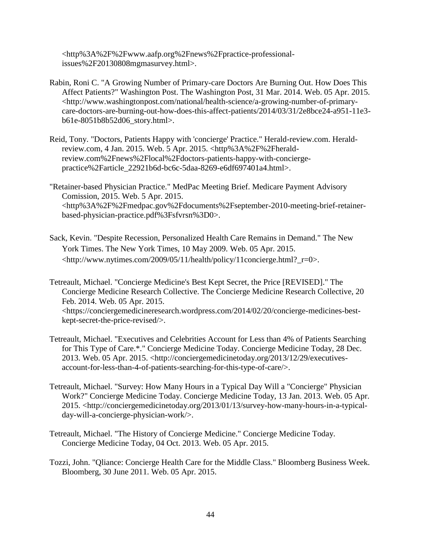<http%3A%2F%2Fwww.aafp.org%2Fnews%2Fpractice-professionalissues%2F20130808mgmasurvey.html>.

- Rabin, Roni C. "A Growing Number of Primary-care Doctors Are Burning Out. How Does This Affect Patients?" Washington Post. The Washington Post, 31 Mar. 2014. Web. 05 Apr. 2015. <http://www.washingtonpost.com/national/health-science/a-growing-number-of-primarycare-doctors-are-burning-out-how-does-this-affect-patients/2014/03/31/2e8bce24-a951-11e3 b61e-8051b8b52d06\_story.html>.
- Reid, Tony. "Doctors, Patients Happy with 'concierge' Practice." Herald-review.com. Heraldreview.com, 4 Jan. 2015. Web. 5 Apr. 2015. <http%3A%2F%2Fheraldreview.com%2Fnews%2Flocal%2Fdoctors-patients-happy-with-conciergepractice%2Farticle\_22921b6d-bc6c-5daa-8269-e6df697401a4.html>.
- "Retainer-based Physician Practice." MedPac Meeting Brief. Medicare Payment Advisory Comission, 2015. Web. 5 Apr. 2015. <http%3A%2F%2Fmedpac.gov%2Fdocuments%2Fseptember-2010-meeting-brief-retainerbased-physician-practice.pdf%3Fsfvrsn%3D0>.
- Sack, Kevin. "Despite Recession, Personalized Health Care Remains in Demand." The New York Times. The New York Times, 10 May 2009. Web. 05 Apr. 2015. <http://www.nytimes.com/2009/05/11/health/policy/11concierge.html?\_r=0>.
- Tetreault, Michael. "Concierge Medicine's Best Kept Secret, the Price [REVISED]." The Concierge Medicine Research Collective. The Concierge Medicine Research Collective, 20 Feb. 2014. Web. 05 Apr. 2015. <https://conciergemedicineresearch.wordpress.com/2014/02/20/concierge-medicines-bestkept-secret-the-price-revised/>.
- Tetreault, Michael. "Executives and Celebrities Account for Less than 4% of Patients Searching for This Type of Care.\*." Concierge Medicine Today. Concierge Medicine Today, 28 Dec. 2013. Web. 05 Apr. 2015. <http://conciergemedicinetoday.org/2013/12/29/executivesaccount-for-less-than-4-of-patients-searching-for-this-type-of-care/>.
- Tetreault, Michael. "Survey: How Many Hours in a Typical Day Will a "Concierge" Physician Work?" Concierge Medicine Today. Concierge Medicine Today, 13 Jan. 2013. Web. 05 Apr. 2015. <http://conciergemedicinetoday.org/2013/01/13/survey-how-many-hours-in-a-typicalday-will-a-concierge-physician-work/>.
- Tetreault, Michael. "The History of Concierge Medicine." Concierge Medicine Today. Concierge Medicine Today, 04 Oct. 2013. Web. 05 Apr. 2015.
- Tozzi, John. "Qliance: Concierge Health Care for the Middle Class." Bloomberg Business Week. Bloomberg, 30 June 2011. Web. 05 Apr. 2015.